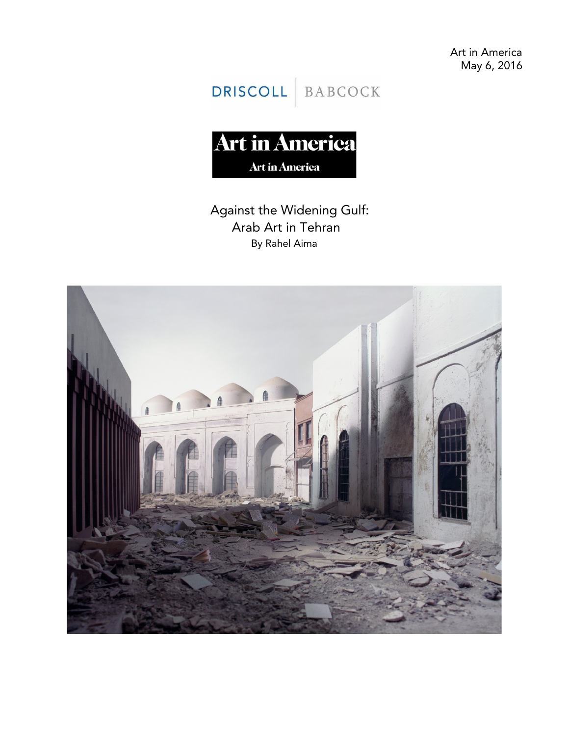Art in America May 6, 2016

DRISCOLL BABCOCK

**Art in America** Art in America

## Against the Widening Gulf: Arab Art in Tehran By Rahel Aima

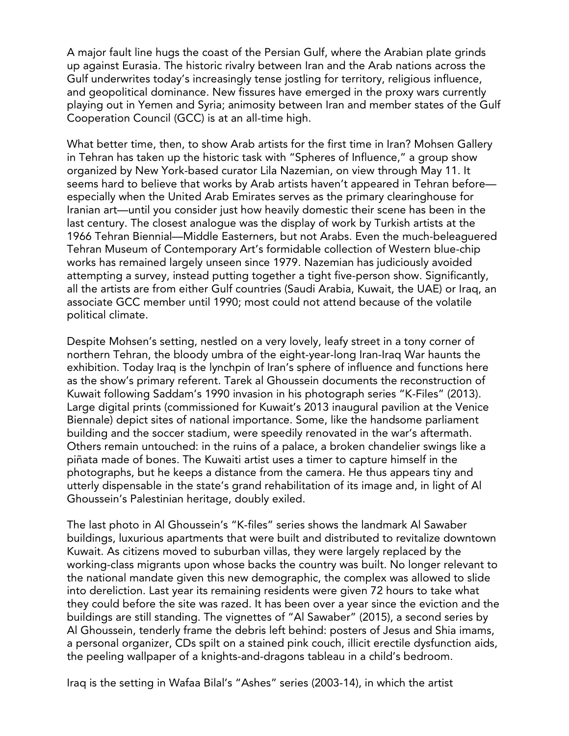A major fault line hugs the coast of the Persian Gulf, where the Arabian plate grinds up against Eurasia. The historic rivalry between Iran and the Arab nations across the Gulf underwrites today's increasingly tense jostling for territory, religious influence, and geopolitical dominance. New fissures have emerged in the proxy wars currently playing out in Yemen and Syria; animosity between Iran and member states of the Gulf Cooperation Council (GCC) is at an all-time high.

What better time, then, to show Arab artists for the first time in Iran? Mohsen Gallery in Tehran has taken up the historic task with "Spheres of Influence," a group show organized by New York-based curator Lila Nazemian, on view through May 11. It seems hard to believe that works by Arab artists haven't appeared in Tehran before especially when the United Arab Emirates serves as the primary clearinghouse for Iranian art—until you consider just how heavily domestic their scene has been in the last century. The closest analogue was the display of work by Turkish artists at the 1966 Tehran Biennial—Middle Easterners, but not Arabs. Even the much-beleaguered Tehran Museum of Contemporary Art's formidable collection of Western blue-chip works has remained largely unseen since 1979. Nazemian has judiciously avoided attempting a survey, instead putting together a tight five-person show. Significantly, all the artists are from either Gulf countries (Saudi Arabia, Kuwait, the UAE) or Iraq, an associate GCC member until 1990; most could not attend because of the volatile political climate.

Despite Mohsen's setting, nestled on a very lovely, leafy street in a tony corner of northern Tehran, the bloody umbra of the eight-year-long Iran-Iraq War haunts the exhibition. Today Iraq is the lynchpin of Iran's sphere of influence and functions here as the show's primary referent. Tarek al Ghoussein documents the reconstruction of Kuwait following Saddam's 1990 invasion in his photograph series "K-Files" (2013). Large digital prints (commissioned for Kuwait's 2013 inaugural pavilion at the Venice Biennale) depict sites of national importance. Some, like the handsome parliament building and the soccer stadium, were speedily renovated in the war's aftermath. Others remain untouched: in the ruins of a palace, a broken chandelier swings like a piñata made of bones. The Kuwaiti artist uses a timer to capture himself in the photographs, but he keeps a distance from the camera. He thus appears tiny and utterly dispensable in the state's grand rehabilitation of its image and, in light of Al Ghoussein's Palestinian heritage, doubly exiled.

The last photo in Al Ghoussein's "K-files" series shows the landmark Al Sawaber buildings, luxurious apartments that were built and distributed to revitalize downtown Kuwait. As citizens moved to suburban villas, they were largely replaced by the working-class migrants upon whose backs the country was built. No longer relevant to the national mandate given this new demographic, the complex was allowed to slide into dereliction. Last year its remaining residents were given 72 hours to take what they could before the site was razed. It has been over a year since the eviction and the buildings are still standing. The vignettes of "Al Sawaber" (2015), a second series by Al Ghoussein, tenderly frame the debris left behind: posters of Jesus and Shia imams, a personal organizer, CDs spilt on a stained pink couch, illicit erectile dysfunction aids, the peeling wallpaper of a knights-and-dragons tableau in a child's bedroom.

Iraq is the setting in Wafaa Bilal's "Ashes" series (2003-14), in which the artist